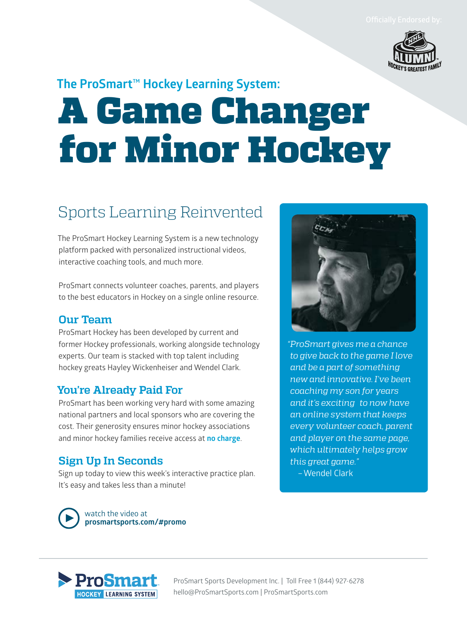

### **The ProSmart™ Hockey Learning System:**

# A Game Changer for Minor Hockey

## Sports Learning Reinvented

The ProSmart Hockey Learning System is a new technology platform packed with personalized instructional videos, interactive coaching tools, and much more.

ProSmart connects volunteer coaches, parents, and players to the best educators in Hockey on a single online resource.

#### **Our Team**

ProSmart Hockey has been developed by current and former Hockey professionals, working alongside technology experts. Our team is stacked with top talent including hockey greats Hayley Wickenheiser and Wendel Clark.

#### **You're Already Paid For**

ProSmart has been working very hard with some amazing national partners and local sponsors who are covering the cost. Their generosity ensures minor hockey associations and minor hockey families receive access at **no charge**.

#### **Sign Up In Seconds**

Sign up today to view this week's interactive practice plan. It's easy and takes less than a minute!



*"ProSmart gives me a chance to give back to the game I love and be a part of something new and innovative. I've been coaching my son for years and it's exciting to now have an online system that keeps every volunteer coach, parent and player on the same page, which ultimately helps grow this great game."*

–Wendel Clark





ProSmart Sports Development Inc. | Toll Free 1 (844) 927-6278 hello@ProSmartSports.com | ProSmartSports.com